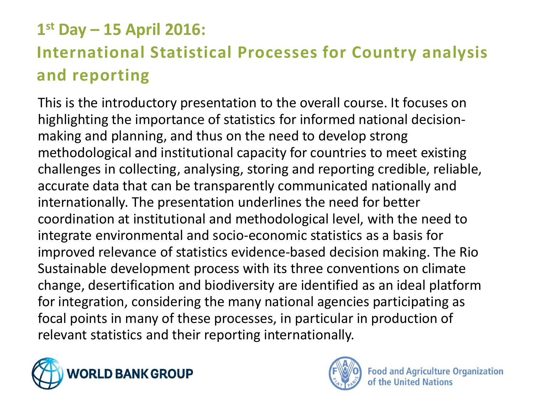#### **1 st Day – 15 April 2016:**

### **International Statistical Processes for Country analysis and reporting**

This is the introductory presentation to the overall course. It focuses on highlighting the importance of statistics for informed national decisionmaking and planning, and thus on the need to develop strong methodological and institutional capacity for countries to meet existing challenges in collecting, analysing, storing and reporting credible, reliable, accurate data that can be transparently communicated nationally and internationally. The presentation underlines the need for better coordination at institutional and methodological level, with the need to integrate environmental and socio-economic statistics as a basis for improved relevance of statistics evidence-based decision making. The Rio Sustainable development process with its three conventions on climate change, desertification and biodiversity are identified as an ideal platform for integration, considering the many national agencies participating as focal points in many of these processes, in particular in production of relevant statistics and their reporting internationally.



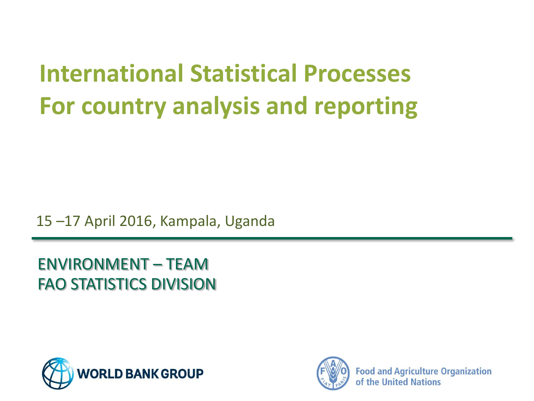## **International Statistical Processes For country analysis and reporting**

15 –17 April 2016, Kampala, Uganda

ENVIRONMENT – TEAM FAO STATISTICS DIVISION



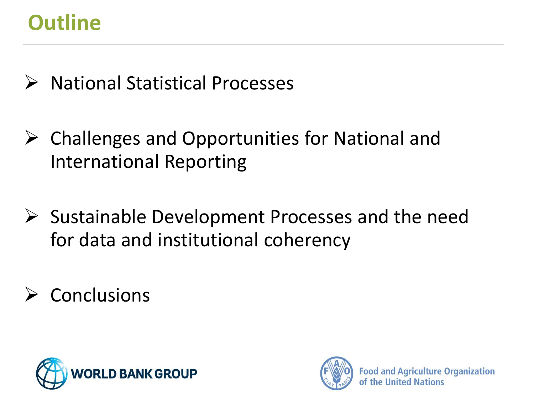## **Outline**

- $\triangleright$  National Statistical Processes
- $\triangleright$  Challenges and Opportunities for National and International Reporting
- $\triangleright$  Sustainable Development Processes and the need for data and institutional coherency
- $\triangleright$  Conclusions



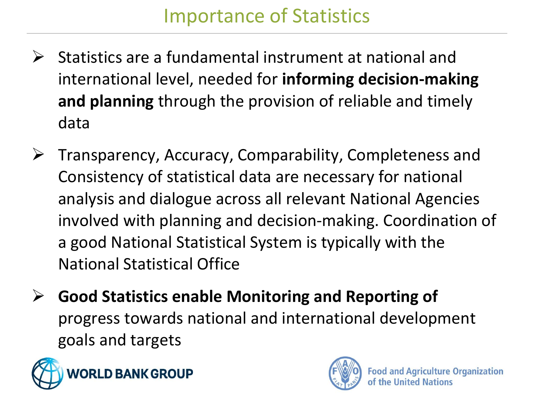- $\triangleright$  Statistics are a fundamental instrument at national and international level, needed for **informing decision-making and planning** through the provision of reliable and timely data
- $\triangleright$  Transparency, Accuracy, Comparability, Completeness and Consistency of statistical data are necessary for national analysis and dialogue across all relevant National Agencies involved with planning and decision-making. Coordination of a good National Statistical System is typically with the National Statistical Office
- **Good Statistics enable Monitoring and Reporting of**  progress towards national and international development goals and targets



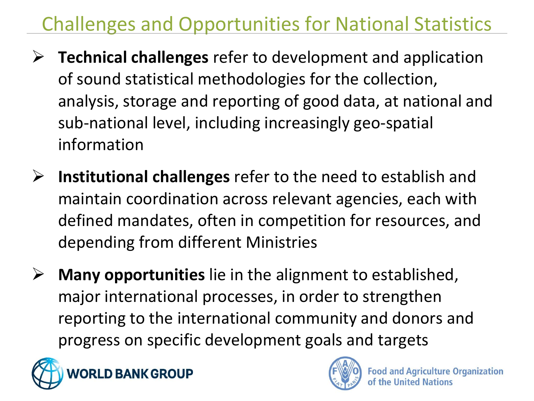## Challenges and Opportunities for National Statistics

- **Technical challenges** refer to development and application of sound statistical methodologies for the collection, analysis, storage and reporting of good data, at national and sub-national level, including increasingly geo-spatial information
- **Institutional challenges** refer to the need to establish and maintain coordination across relevant agencies, each with defined mandates, often in competition for resources, and depending from different Ministries
- **Many opportunities** lie in the alignment to established, major international processes, in order to strengthen reporting to the international community and donors and progress on specific development goals and targets



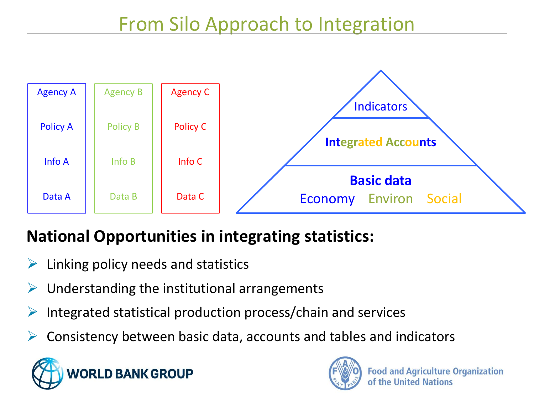

#### **National Opportunities in integrating statistics:**

- $\triangleright$  Linking policy needs and statistics
- Understanding the institutional arrangements
- $\triangleright$  Integrated statistical production process/chain and services
- $\triangleright$  Consistency between basic data, accounts and tables and indicators



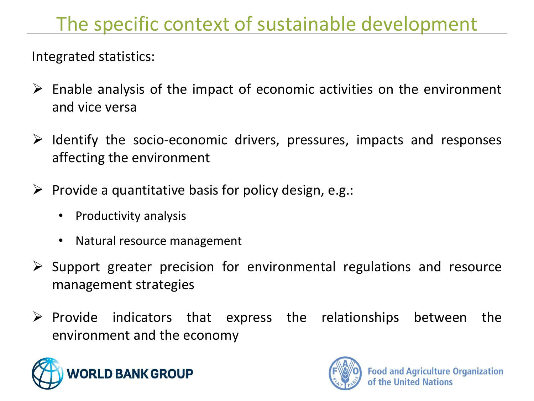## The specific context of sustainable development

Integrated statistics:

- $\triangleright$  Enable analysis of the impact of economic activities on the environment and vice versa
- $\triangleright$  Identify the socio-economic drivers, pressures, impacts and responses affecting the environment
- $\triangleright$  Provide a quantitative basis for policy design, e.g.:
	- Productivity analysis
	- Natural resource management
- $\triangleright$  Support greater precision for environmental regulations and resource management strategies
- $\triangleright$  Provide indicators that express the relationships between the environment and the economy



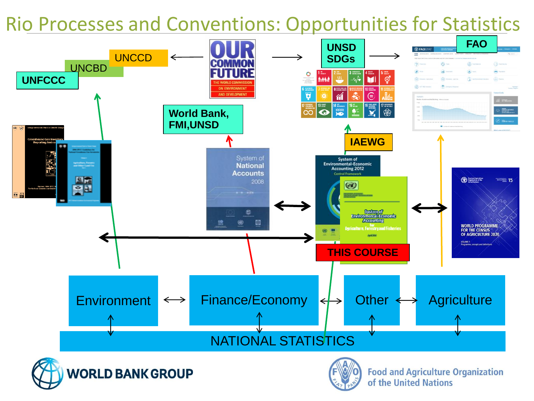### Rio Processes and Conventions: Opportunities for Statistics

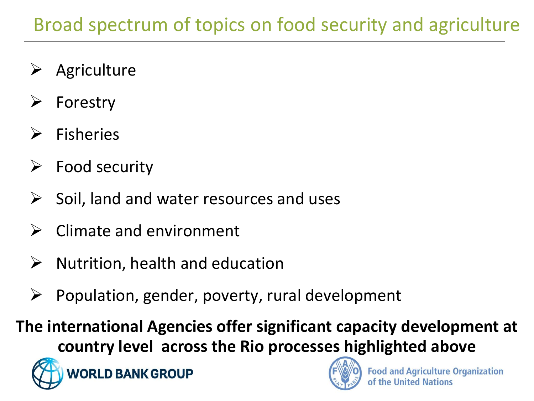- Agriculture
- Forestry
- Fisheries
- Food security
- Soil, land and water resources and uses
- Climate and environment
- $\triangleright$  Nutrition, health and education
- Population, gender, poverty, rural development

**The international Agencies offer significant capacity development at country level across the Rio processes highlighted above** 



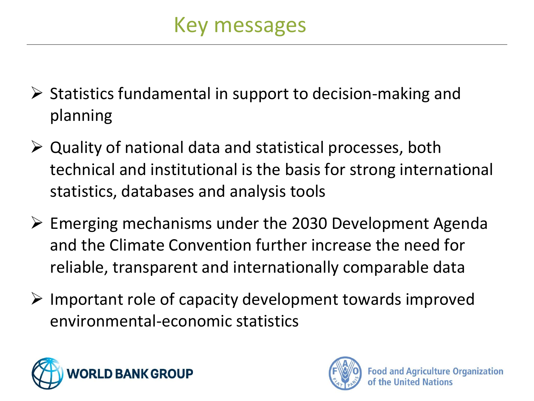- $\triangleright$  Statistics fundamental in support to decision-making and planning
- $\triangleright$  Quality of national data and statistical processes, both technical and institutional is the basis for strong international statistics, databases and analysis tools
- $\triangleright$  Emerging mechanisms under the 2030 Development Agenda and the Climate Convention further increase the need for reliable, transparent and internationally comparable data
- $\triangleright$  Important role of capacity development towards improved environmental-economic statistics